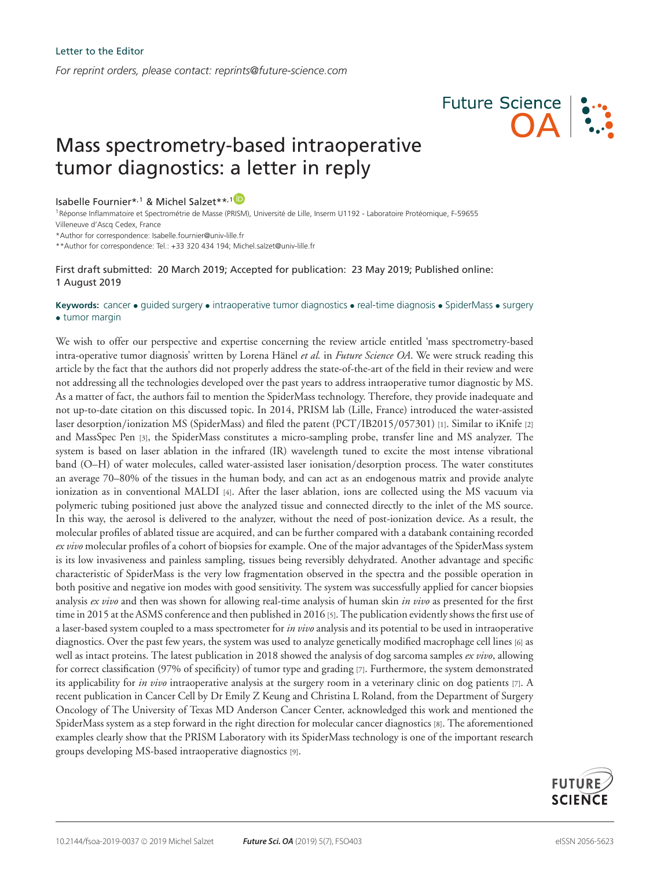*For reprint orders, please contact: reprints@future-science.com*

Isabelle Fournier\*,<sup>[1](https://orcid.org/0000-0003-4318-0817)</sup> & Michel Salzet\*\*,<sup>1</sup><sup>D</sup>

1Réponse Inflammatoire et Spectrométrie de Masse (PRISM), Université de Lille, Inserm U1192 - Laboratoire Protéomique, F-59655 Villeneuve d'Ascq Cedex, France

Mass spectrometry-based intraoperative

tumor diagnostics: a letter in reply

\*Author for correspondence: Isabelle.fournier@univ-lille.fr

\*\*Author for correspondence: Tel.: +33 320 434 194; Michel.salzet@univ-lille.fr

First draft submitted: 20 March 2019; Accepted for publication: 23 May 2019; Published online: 1 August 2019

## **Keywords:** cancer • guided surgery • intraoperative tumor diagnostics • real-time diagnosis • SpiderMass • surgery • tumor margin

We wish to offer our perspective and expertise concerning the review article entitled 'mass spectrometry-based intra-operative tumor diagnosis' written by Lorena Hänel et al. in *Future Science OA*. We were struck reading this article by the fact that the authors did not properly address the state-of-the-art of the field in their review and were not addressing all the technologies developed over the past years to address intraoperative tumor diagnostic by MS. As a matter of fact, the authors fail to mention the SpiderMass technology. Therefore, they provide inadequate and not up-to-date citation on this discussed topic. In 2014, PRISM lab (Lille, France) introduced the water-assisted laser desorption/ionization MS (SpiderMass) and filed the patent (PCT/IB2015/057301) [1]. Similar to iKnife [2] and MassSpec Pen [3], the SpiderMass constitutes a micro-sampling probe, transfer line and MS analyzer. The system is based on laser ablation in the infrared (IR) wavelength tuned to excite the most intense vibrational band (O–H) of water molecules, called water-assisted laser ionisation/desorption process. The water constitutes an average 70–80% of the tissues in the human body, and can act as an endogenous matrix and provide analyte ionization as in conventional MALDI [4]. After the laser ablation, ions are collected using the MS vacuum via polymeric tubing positioned just above the analyzed tissue and connected directly to the inlet of the MS source. In this way, the aerosol is delivered to the analyzer, without the need of post-ionization device. As a result, the molecular profiles of ablated tissue are acquired, and can be further compared with a databank containing recorded *ex vivo* molecular profiles of a cohort of biopsies for example. One of the major advantages of the SpiderMass system is its low invasiveness and painless sampling, tissues being reversibly dehydrated. Another advantage and specific characteristic of SpiderMass is the very low fragmentation observed in the spectra and the possible operation in both positive and negative ion modes with good sensitivity. The system was successfully applied for cancer biopsies analysis *ex vivo* and then was shown for allowing real-time analysis of human skin *in vivo* as presented for the first time in 2015 at the ASMS conference and then published in 2016 [5]. The publication evidently shows the first use of a laser-based system coupled to a mass spectrometer for *in vivo* analysis and its potential to be used in intraoperative diagnostics. Over the past few years, the system was used to analyze genetically modified macrophage cell lines [6] as well as intact proteins. The latest publication in 2018 showed the analysis of dog sarcoma samples *ex vivo*, allowing for correct classification (97% of specificity) of tumor type and grading [7]. Furthermore, the system demonstrated its applicability for *in vivo* intraoperative analysis at the surgery room in a veterinary clinic on dog patients [7]. A recent publication in Cancer Cell by Dr Emily Z Keung and Christina L Roland, from the Department of Surgery Oncology of The University of Texas MD Anderson Cancer Center, acknowledged this work and mentioned the SpiderMass system as a step forward in the right direction for molecular cancer diagnostics [8]. The aforementioned examples clearly show that the PRISM Laboratory with its SpiderMass technology is one of the important research groups developing MS-based intraoperative diagnostics [9].



**Future Science**